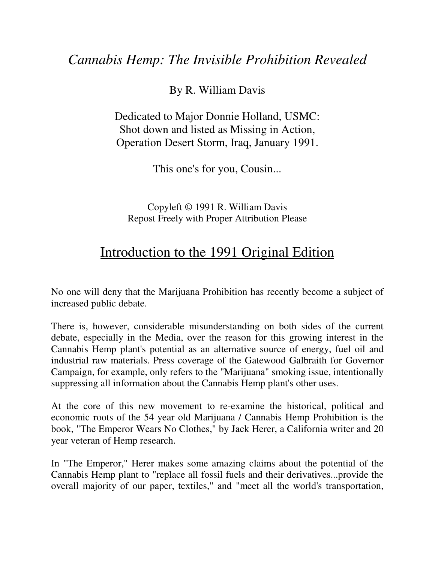By R. William Davis

Dedicated to Major Donnie Holland, USMC: Shot down and listed as Missing in Action, Operation Desert Storm, Iraq, January 1991.

This one's for you, Cousin...

Copyleft © 1991 R. William Davis Repost Freely with Proper Attribution Please

## Introduction to the 1991 Original Edition

No one will deny that the Marijuana Prohibition has recently become a subject of increased public debate.

There is, however, considerable misunderstanding on both sides of the current debate, especially in the Media, over the reason for this growing interest in the Cannabis Hemp plant's potential as an alternative source of energy, fuel oil and industrial raw materials. Press coverage of the Gatewood Galbraith for Governor Campaign, for example, only refers to the "Marijuana" smoking issue, intentionally suppressing all information about the Cannabis Hemp plant's other uses.

At the core of this new movement to re-examine the historical, political and economic roots of the 54 year old Marijuana / Cannabis Hemp Prohibition is the book, "The Emperor Wears No Clothes," by Jack Herer, a California writer and 20 year veteran of Hemp research.

In "The Emperor," Herer makes some amazing claims about the potential of the Cannabis Hemp plant to "replace all fossil fuels and their derivatives...provide the overall majority of our paper, textiles," and "meet all the world's transportation,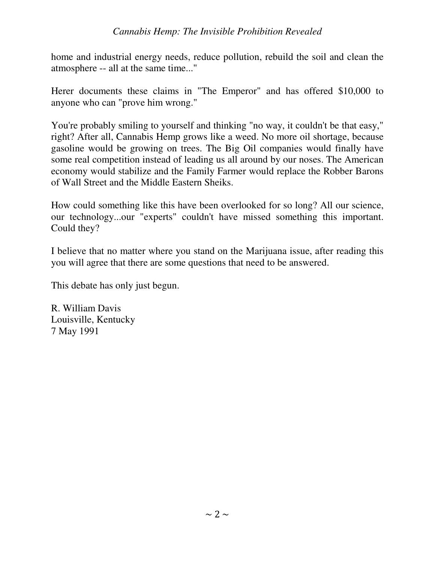home and industrial energy needs, reduce pollution, rebuild the soil and clean the atmosphere -- all at the same time..."

Herer documents these claims in "The Emperor" and has offered \$10,000 to anyone who can "prove him wrong."

You're probably smiling to yourself and thinking "no way, it couldn't be that easy," right? After all, Cannabis Hemp grows like a weed. No more oil shortage, because gasoline would be growing on trees. The Big Oil companies would finally have some real competition instead of leading us all around by our noses. The American economy would stabilize and the Family Farmer would replace the Robber Barons of Wall Street and the Middle Eastern Sheiks.

How could something like this have been overlooked for so long? All our science, our technology...our "experts" couldn't have missed something this important. Could they?

I believe that no matter where you stand on the Marijuana issue, after reading this you will agree that there are some questions that need to be answered.

This debate has only just begun.

R. William Davis Louisville, Kentucky 7 May 1991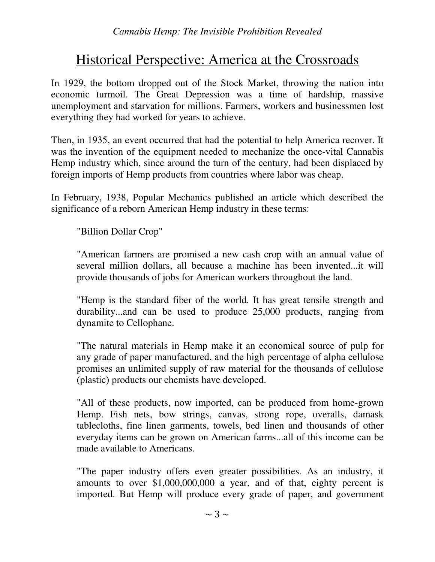# Historical Perspective: America at the Crossroads

In 1929, the bottom dropped out of the Stock Market, throwing the nation into economic turmoil. The Great Depression was a time of hardship, massive unemployment and starvation for millions. Farmers, workers and businessmen lost everything they had worked for years to achieve.

Then, in 1935, an event occurred that had the potential to help America recover. It was the invention of the equipment needed to mechanize the once-vital Cannabis Hemp industry which, since around the turn of the century, had been displaced by foreign imports of Hemp products from countries where labor was cheap.

In February, 1938, Popular Mechanics published an article which described the significance of a reborn American Hemp industry in these terms:

"Billion Dollar Crop"

"American farmers are promised a new cash crop with an annual value of several million dollars, all because a machine has been invented...it will provide thousands of jobs for American workers throughout the land.

"Hemp is the standard fiber of the world. It has great tensile strength and durability...and can be used to produce 25,000 products, ranging from dynamite to Cellophane.

"The natural materials in Hemp make it an economical source of pulp for any grade of paper manufactured, and the high percentage of alpha cellulose promises an unlimited supply of raw material for the thousands of cellulose (plastic) products our chemists have developed.

"All of these products, now imported, can be produced from home-grown Hemp. Fish nets, bow strings, canvas, strong rope, overalls, damask tablecloths, fine linen garments, towels, bed linen and thousands of other everyday items can be grown on American farms...all of this income can be made available to Americans.

"The paper industry offers even greater possibilities. As an industry, it amounts to over \$1,000,000,000 a year, and of that, eighty percent is imported. But Hemp will produce every grade of paper, and government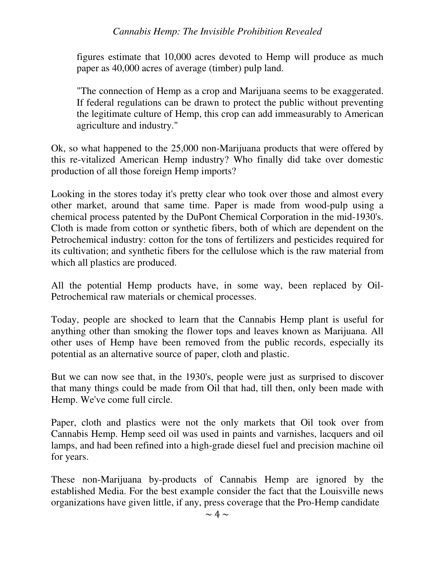figures estimate that 10,000 acres devoted to Hemp will produce as much paper as 40,000 acres of average (timber) pulp land.

"The connection of Hemp as a crop and Marijuana seems to be exaggerated. If federal regulations can be drawn to protect the public without preventing the legitimate culture of Hemp, this crop can add immeasurably to American agriculture and industry."

Ok, so what happened to the 25,000 non-Marijuana products that were offered by this re-vitalized American Hemp industry? Who finally did take over domestic production of all those foreign Hemp imports?

Looking in the stores today it's pretty clear who took over those and almost every other market, around that same time. Paper is made from wood-pulp using a chemical process patented by the DuPont Chemical Corporation in the mid-1930's. Cloth is made from cotton or synthetic fibers, both of which are dependent on the Petrochemical industry: cotton for the tons of fertilizers and pesticides required for its cultivation; and synthetic fibers for the cellulose which is the raw material from which all plastics are produced.

All the potential Hemp products have, in some way, been replaced by Oil-Petrochemical raw materials or chemical processes.

Today, people are shocked to learn that the Cannabis Hemp plant is useful for anything other than smoking the flower tops and leaves known as Marijuana. All other uses of Hemp have been removed from the public records, especially its potential as an alternative source of paper, cloth and plastic.

But we can now see that, in the 1930's, people were just as surprised to discover that many things could be made from Oil that had, till then, only been made with Hemp. We've come full circle.

Paper, cloth and plastics were not the only markets that Oil took over from Cannabis Hemp. Hemp seed oil was used in paints and varnishes, lacquers and oil lamps, and had been refined into a high-grade diesel fuel and precision machine oil for years.

These non-Marijuana by-products of Cannabis Hemp are ignored by the established Media. For the best example consider the fact that the Louisville news organizations have given little, if any, press coverage that the Pro-Hemp candidate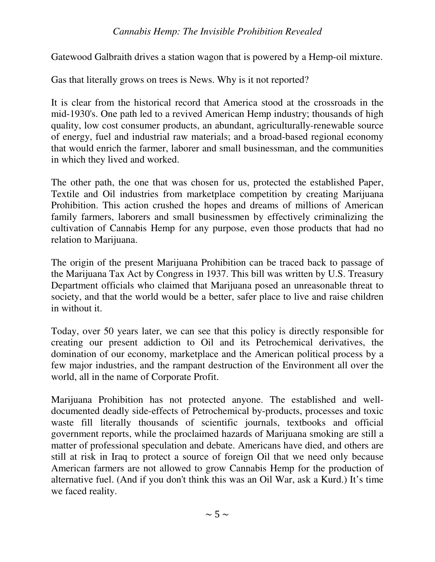Gatewood Galbraith drives a station wagon that is powered by a Hemp-oil mixture.

Gas that literally grows on trees is News. Why is it not reported?

It is clear from the historical record that America stood at the crossroads in the mid-1930's. One path led to a revived American Hemp industry; thousands of high quality, low cost consumer products, an abundant, agriculturally-renewable source of energy, fuel and industrial raw materials; and a broad-based regional economy that would enrich the farmer, laborer and small businessman, and the communities in which they lived and worked.

The other path, the one that was chosen for us, protected the established Paper, Textile and Oil industries from marketplace competition by creating Marijuana Prohibition. This action crushed the hopes and dreams of millions of American family farmers, laborers and small businessmen by effectively criminalizing the cultivation of Cannabis Hemp for any purpose, even those products that had no relation to Marijuana.

The origin of the present Marijuana Prohibition can be traced back to passage of the Marijuana Tax Act by Congress in 1937. This bill was written by U.S. Treasury Department officials who claimed that Marijuana posed an unreasonable threat to society, and that the world would be a better, safer place to live and raise children in without it.

Today, over 50 years later, we can see that this policy is directly responsible for creating our present addiction to Oil and its Petrochemical derivatives, the domination of our economy, marketplace and the American political process by a few major industries, and the rampant destruction of the Environment all over the world, all in the name of Corporate Profit.

Marijuana Prohibition has not protected anyone. The established and welldocumented deadly side-effects of Petrochemical by-products, processes and toxic waste fill literally thousands of scientific journals, textbooks and official government reports, while the proclaimed hazards of Marijuana smoking are still a matter of professional speculation and debate. Americans have died, and others are still at risk in Iraq to protect a source of foreign Oil that we need only because American farmers are not allowed to grow Cannabis Hemp for the production of alternative fuel. (And if you don't think this was an Oil War, ask a Kurd.) It's time we faced reality.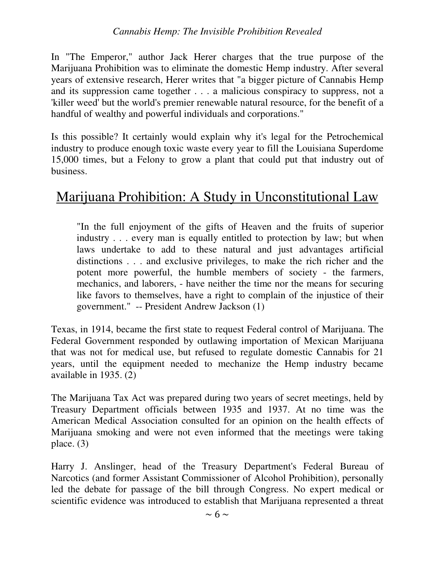In "The Emperor," author Jack Herer charges that the true purpose of the Marijuana Prohibition was to eliminate the domestic Hemp industry. After several years of extensive research, Herer writes that "a bigger picture of Cannabis Hemp and its suppression came together . . . a malicious conspiracy to suppress, not a 'killer weed' but the world's premier renewable natural resource, for the benefit of a handful of wealthy and powerful individuals and corporations."

Is this possible? It certainly would explain why it's legal for the Petrochemical industry to produce enough toxic waste every year to fill the Louisiana Superdome 15,000 times, but a Felony to grow a plant that could put that industry out of business.

## Marijuana Prohibition: A Study in Unconstitutional Law

"In the full enjoyment of the gifts of Heaven and the fruits of superior industry . . . every man is equally entitled to protection by law; but when laws undertake to add to these natural and just advantages artificial distinctions . . . and exclusive privileges, to make the rich richer and the potent more powerful, the humble members of society - the farmers, mechanics, and laborers, - have neither the time nor the means for securing like favors to themselves, have a right to complain of the injustice of their government." -- President Andrew Jackson (1)

Texas, in 1914, became the first state to request Federal control of Marijuana. The Federal Government responded by outlawing importation of Mexican Marijuana that was not for medical use, but refused to regulate domestic Cannabis for 21 years, until the equipment needed to mechanize the Hemp industry became available in 1935. (2)

The Marijuana Tax Act was prepared during two years of secret meetings, held by Treasury Department officials between 1935 and 1937. At no time was the American Medical Association consulted for an opinion on the health effects of Marijuana smoking and were not even informed that the meetings were taking place. (3)

Harry J. Anslinger, head of the Treasury Department's Federal Bureau of Narcotics (and former Assistant Commissioner of Alcohol Prohibition), personally led the debate for passage of the bill through Congress. No expert medical or scientific evidence was introduced to establish that Marijuana represented a threat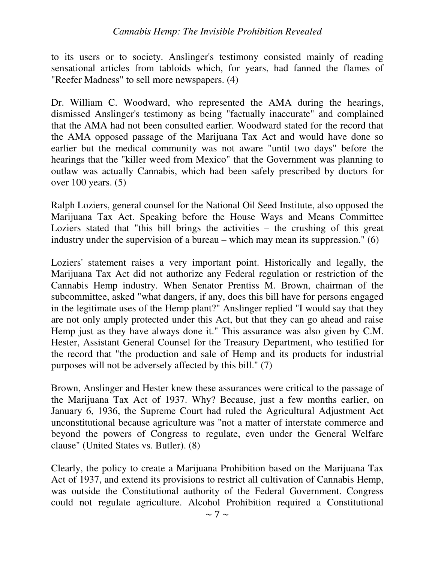to its users or to society. Anslinger's testimony consisted mainly of reading sensational articles from tabloids which, for years, had fanned the flames of "Reefer Madness" to sell more newspapers. (4)

Dr. William C. Woodward, who represented the AMA during the hearings, dismissed Anslinger's testimony as being "factually inaccurate" and complained that the AMA had not been consulted earlier. Woodward stated for the record that the AMA opposed passage of the Marijuana Tax Act and would have done so earlier but the medical community was not aware "until two days" before the hearings that the "killer weed from Mexico" that the Government was planning to outlaw was actually Cannabis, which had been safely prescribed by doctors for over 100 years. (5)

Ralph Loziers, general counsel for the National Oil Seed Institute, also opposed the Marijuana Tax Act. Speaking before the House Ways and Means Committee Loziers stated that "this bill brings the activities – the crushing of this great industry under the supervision of a bureau – which may mean its suppression." (6)

Loziers' statement raises a very important point. Historically and legally, the Marijuana Tax Act did not authorize any Federal regulation or restriction of the Cannabis Hemp industry. When Senator Prentiss M. Brown, chairman of the subcommittee, asked "what dangers, if any, does this bill have for persons engaged in the legitimate uses of the Hemp plant?" Anslinger replied "I would say that they are not only amply protected under this Act, but that they can go ahead and raise Hemp just as they have always done it." This assurance was also given by C.M. Hester, Assistant General Counsel for the Treasury Department, who testified for the record that "the production and sale of Hemp and its products for industrial purposes will not be adversely affected by this bill." (7)

Brown, Anslinger and Hester knew these assurances were critical to the passage of the Marijuana Tax Act of 1937. Why? Because, just a few months earlier, on January 6, 1936, the Supreme Court had ruled the Agricultural Adjustment Act unconstitutional because agriculture was "not a matter of interstate commerce and beyond the powers of Congress to regulate, even under the General Welfare clause" (United States vs. Butler). (8)

Clearly, the policy to create a Marijuana Prohibition based on the Marijuana Tax Act of 1937, and extend its provisions to restrict all cultivation of Cannabis Hemp, was outside the Constitutional authority of the Federal Government. Congress could not regulate agriculture. Alcohol Prohibition required a Constitutional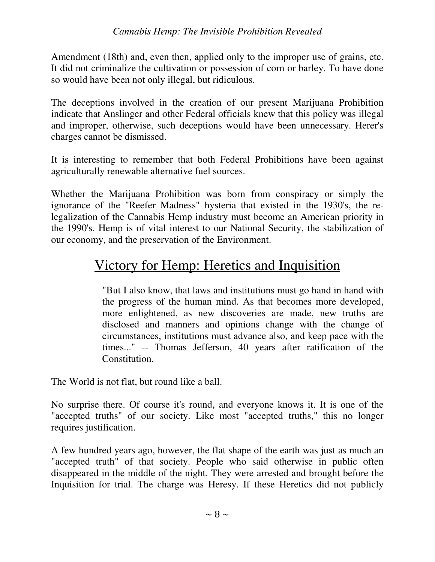Amendment (18th) and, even then, applied only to the improper use of grains, etc. It did not criminalize the cultivation or possession of corn or barley. To have done so would have been not only illegal, but ridiculous.

The deceptions involved in the creation of our present Marijuana Prohibition indicate that Anslinger and other Federal officials knew that this policy was illegal and improper, otherwise, such deceptions would have been unnecessary. Herer's charges cannot be dismissed.

It is interesting to remember that both Federal Prohibitions have been against agriculturally renewable alternative fuel sources.

Whether the Marijuana Prohibition was born from conspiracy or simply the ignorance of the "Reefer Madness" hysteria that existed in the 1930's, the relegalization of the Cannabis Hemp industry must become an American priority in the 1990's. Hemp is of vital interest to our National Security, the stabilization of our economy, and the preservation of the Environment.

## Victory for Hemp: Heretics and Inquisition

"But I also know, that laws and institutions must go hand in hand with the progress of the human mind. As that becomes more developed, more enlightened, as new discoveries are made, new truths are disclosed and manners and opinions change with the change of circumstances, institutions must advance also, and keep pace with the times..." -- Thomas Jefferson, 40 years after ratification of the Constitution.

The World is not flat, but round like a ball.

No surprise there. Of course it's round, and everyone knows it. It is one of the "accepted truths" of our society. Like most "accepted truths," this no longer requires justification.

A few hundred years ago, however, the flat shape of the earth was just as much an "accepted truth" of that society. People who said otherwise in public often disappeared in the middle of the night. They were arrested and brought before the Inquisition for trial. The charge was Heresy. If these Heretics did not publicly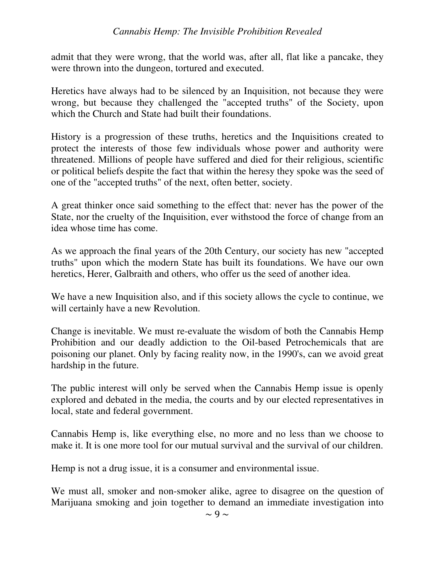admit that they were wrong, that the world was, after all, flat like a pancake, they were thrown into the dungeon, tortured and executed.

Heretics have always had to be silenced by an Inquisition, not because they were wrong, but because they challenged the "accepted truths" of the Society, upon which the Church and State had built their foundations.

History is a progression of these truths, heretics and the Inquisitions created to protect the interests of those few individuals whose power and authority were threatened. Millions of people have suffered and died for their religious, scientific or political beliefs despite the fact that within the heresy they spoke was the seed of one of the "accepted truths" of the next, often better, society.

A great thinker once said something to the effect that: never has the power of the State, nor the cruelty of the Inquisition, ever withstood the force of change from an idea whose time has come.

As we approach the final years of the 20th Century, our society has new "accepted truths" upon which the modern State has built its foundations. We have our own heretics, Herer, Galbraith and others, who offer us the seed of another idea.

We have a new Inquisition also, and if this society allows the cycle to continue, we will certainly have a new Revolution.

Change is inevitable. We must re-evaluate the wisdom of both the Cannabis Hemp Prohibition and our deadly addiction to the Oil-based Petrochemicals that are poisoning our planet. Only by facing reality now, in the 1990's, can we avoid great hardship in the future.

The public interest will only be served when the Cannabis Hemp issue is openly explored and debated in the media, the courts and by our elected representatives in local, state and federal government.

Cannabis Hemp is, like everything else, no more and no less than we choose to make it. It is one more tool for our mutual survival and the survival of our children.

Hemp is not a drug issue, it is a consumer and environmental issue.

We must all, smoker and non-smoker alike, agree to disagree on the question of Marijuana smoking and join together to demand an immediate investigation into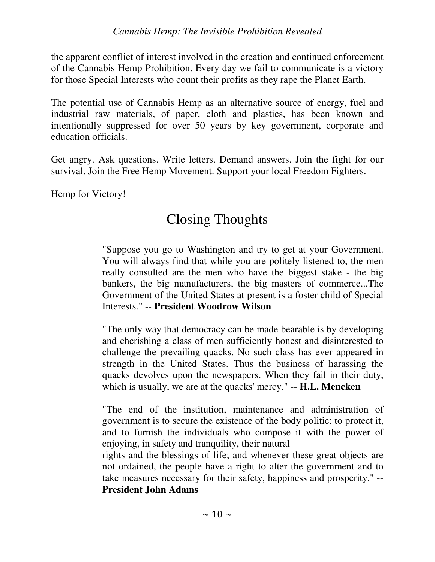the apparent conflict of interest involved in the creation and continued enforcement of the Cannabis Hemp Prohibition. Every day we fail to communicate is a victory for those Special Interests who count their profits as they rape the Planet Earth.

The potential use of Cannabis Hemp as an alternative source of energy, fuel and industrial raw materials, of paper, cloth and plastics, has been known and intentionally suppressed for over 50 years by key government, corporate and education officials.

Get angry. Ask questions. Write letters. Demand answers. Join the fight for our survival. Join the Free Hemp Movement. Support your local Freedom Fighters.

Hemp for Victory!

## Closing Thoughts

"Suppose you go to Washington and try to get at your Government. You will always find that while you are politely listened to, the men really consulted are the men who have the biggest stake - the big bankers, the big manufacturers, the big masters of commerce...The Government of the United States at present is a foster child of Special Interests." -- **President Woodrow Wilson**

"The only way that democracy can be made bearable is by developing and cherishing a class of men sufficiently honest and disinterested to challenge the prevailing quacks. No such class has ever appeared in strength in the United States. Thus the business of harassing the quacks devolves upon the newspapers. When they fail in their duty, which is usually, we are at the quacks' mercy." -- **H.L. Mencken**

"The end of the institution, maintenance and administration of government is to secure the existence of the body politic: to protect it, and to furnish the individuals who compose it with the power of enjoying, in safety and tranquility, their natural

rights and the blessings of life; and whenever these great objects are not ordained, the people have a right to alter the government and to take measures necessary for their safety, happiness and prosperity." -- **President John Adams**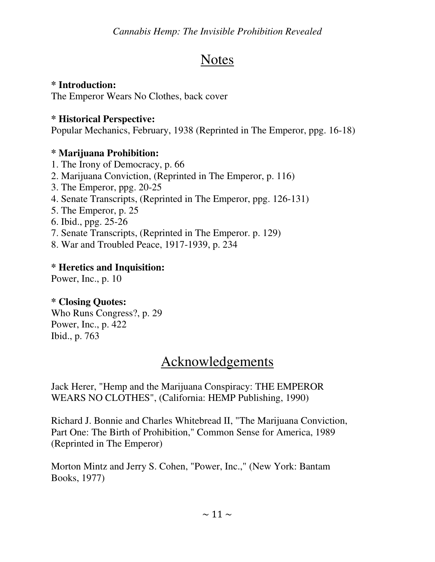# **Notes**

### **\* Introduction:**

The Emperor Wears No Clothes, back cover

### **\* Historical Perspective:**

Popular Mechanics, February, 1938 (Reprinted in The Emperor, ppg. 16-18)

### **\* Marijuana Prohibition:**

- 1. The Irony of Democracy, p. 66
- 2. Marijuana Conviction, (Reprinted in The Emperor, p. 116)
- 3. The Emperor, ppg. 20-25
- 4. Senate Transcripts, (Reprinted in The Emperor, ppg. 126-131)
- 5. The Emperor, p. 25
- 6. Ibid., ppg. 25-26
- 7. Senate Transcripts, (Reprinted in The Emperor. p. 129)
- 8. War and Troubled Peace, 1917-1939, p. 234

### **\* Heretics and Inquisition:**

Power, Inc., p. 10

### **\* Closing Quotes:**

Who Runs Congress?, p. 29 Power, Inc., p. 422 Ibid., p. 763

# Acknowledgements

Jack Herer, "Hemp and the Marijuana Conspiracy: THE EMPEROR WEARS NO CLOTHES", (California: HEMP Publishing, 1990)

Richard J. Bonnie and Charles Whitebread II, "The Marijuana Conviction, Part One: The Birth of Prohibition," Common Sense for America, 1989 (Reprinted in The Emperor)

Morton Mintz and Jerry S. Cohen, "Power, Inc.," (New York: Bantam Books, 1977)